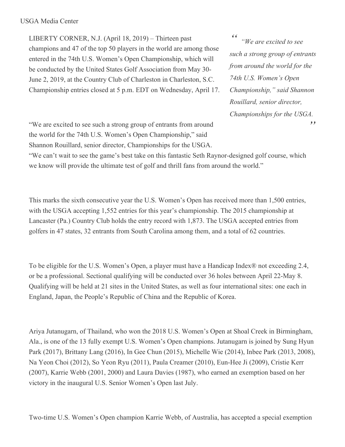LIBERTY CORNER, N.J. (April 18, 2019) – Thirteen past champions and 47 of the top 50 players in the world are among those entered in the 74th U.S. Women's Open Championship, which will be conducted by the United States Golf Association from May 30- June 2, 2019, at the Country Club of Charleston in Charleston, S.C. Championship entries closed at 5 p.m. EDT on Wednesday, April 17.

*" " "We are excited to see such a strong group of entrants from around the world for the 74th U.S. Women's Open Championship," said Shannon Rouillard, senior director, Championships for the USGA.*

"We are excited to see such a strong group of entrants from around the world for the 74th U.S. Women's Open Championship," said Shannon Rouillard, senior director, Championships for the USGA.

"We can't wait to see the game's best take on this fantastic Seth Raynor-designed golf course, which we know will provide the ultimate test of golf and thrill fans from around the world."

This marks the sixth consecutive year the U.S. Women's Open has received more than 1,500 entries, with the USGA accepting 1,552 entries for this year's championship. The 2015 championship at Lancaster (Pa.) Country Club holds the entry record with 1,873. The USGA accepted entries from golfers in 47 states, 32 entrants from South Carolina among them, and a total of 62 countries.

To be eligible for the U.S. Women's Open, a player must have a Handicap Index® not exceeding 2.4, or be a professional. Sectional qualifying will be conducted over 36 holes between April 22-May 8. Qualifying will be held at 21 sites in the United States, as well as four international sites: one each in England, Japan, the People's Republic of China and the Republic of Korea.

Ariya Jutanugarn, of Thailand, who won the 2018 U.S. Women's Open at Shoal Creek in Birmingham, Ala., is one of the 13 fully exempt U.S. Women's Open champions. Jutanugarn is joined by Sung Hyun Park (2017), Brittany Lang (2016), In Gee Chun (2015), Michelle Wie (2014), Inbee Park (2013, 2008), Na Yeon Choi (2012), So Yeon Ryu (2011), Paula Creamer (2010), Eun-Hee Ji (2009), Cristie Kerr (2007), Karrie Webb (2001, 2000) and Laura Davies (1987), who earned an exemption based on her victory in the inaugural U.S. Senior Women's Open last July.

Two-time U.S. Women's Open champion Karrie Webb, of Australia, has accepted a special exemption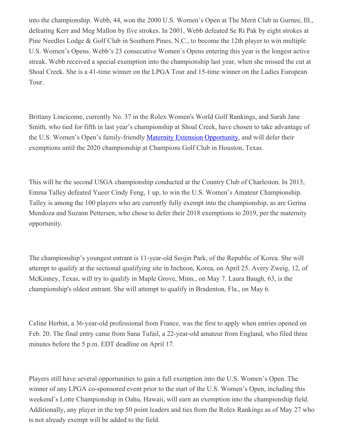into the championship. Webb, 44, won the 2000 U.S. Women's Open at The Merit Club in Gurnee, Ill., defeating Kerr and Meg Mallon by five strokes. In 2001, Webb defeated Se Ri Pak by eight strokes at Pine Needles Lodge & Golf Club in Southern Pines, N.C., to become the 12th player to win multiple U.S. Women's Opens. Webb's 23 consecutive Women's Opens entering this year is the longest active streak. Webb received a special exemption into the championship last year, when she missed the cut at Shoal Creek. She is a 41-time winner on the LPGA Tour and 15-time winner on the Ladies European Tour.

Brittany Lincicome, currently No. 37 in the Rolex Women's World Golf Rankings, and Sarah Jane Smith, who tied for fifth in last year's championship at Shoal Creek, have chosen to take advantage of the U.S. Women's Open's family-friendly Maternity Extension [Opportunity](https://nam05.safelinks.protection.outlook.com/?url=http%3A%2F%2Ficm-tracking.meltwater.com%2Flink.php%3FDynEngagement%3Dtrue%26H%3DbtYXC68syxnIlVIaW0qBweEUHWPFwuN5EgnqFgPj0oiC1OMl9zi1Rra7iNHTX6Ye0HTpqkir327gi%252F3DRSTwSR0lTCY59TIp4PLN60mTYGr57Q6uQzzLNQ%253D%253D%26G%3D0%26R%3Dhttp%253A%252F%252Fwww.usga.org%252Fcontent%252Fdam%252Fusga%252Fpdf%252FChampionship%252520Resources%252Fmaternity-extension-request-use.pdf%252Fsubassets%252Fpage1.pdf%26I%3D20190418170218.000001b1e444%2540mail6-113-ussnn1%26X%3DMHwxMDQ2NzU4OjVjYjg3Yjc0NDk5ZmZjZTMxZWEzZDA5Nzs%253D%26S%3Dh9gTa1XqxzGhMfToSJ2Gbvi50xHtvMH0aOrrQ4KMyBs&data=02%7C01%7CAMorton%40USGA.org%7C712821c8f8594d92c25208d6c4232b90%7C17abf7083a064391bdbd06808d1b9f81%7C0%7C0%7C636912052666494227&sdata=aW7OlJF9jAMt2ne4korAFIfnORefWN4niwBvAeTmrn0%3D&reserved=0), and will defer their exemptions until the 2020 championship at Champions Golf Club in Houston, Texas.

This will be the second USGA championship conducted at the Country Club of Charleston. In 2013, Emma Talley defeated Yueer Cindy Feng, 1 up, to win the U.S. Women's Amateur Championship. Talley is among the 100 players who are currently fully exempt into the championship, as are Gerina Mendoza and Suzann Pettersen, who chose to defer their 2018 exemptions to 2019, per the maternity opportunity.

The championship's youngest entrant is 11-year-old Seojin Park, of the Republic of Korea. She will attempt to qualify at the sectional qualifying site in Incheon, Korea, on April 25. Avery Zweig, 12, of McKinney, Texas, will try to qualify in Maple Grove, Minn., on May 7. Laura Baugh, 63, is the championship's oldest entrant. She will attempt to qualify in Bradenton, Fla., on May 6.

Celine Herbin, a 36-year-old professional from France, was the first to apply when entries opened on Feb. 20. The final entry came from Sana Tufail, a 22-year-old amateur from England, who filed three minutes before the 5 p.m. EDT deadline on April 17.

Players still have several opportunities to gain a full exemption into the U.S. Women's Open. The winner of any LPGA co-sponsored event prior to the start of the U.S. Women's Open, including this weekend's Lotte Championship in Oahu, Hawaii, will earn an exemption into the championship field. Additionally, any player in the top 50 point leaders and ties from the Rolex Rankings as of May 27 who is not already exempt will be added to the field.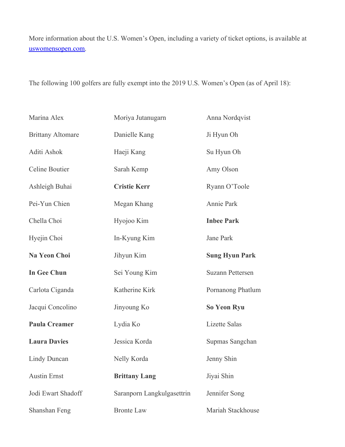More information about the U.S. Women's Open, including a variety of ticket options, is available at [uswomensopen.com](https://nam05.safelinks.protection.outlook.com/?url=http%3A%2F%2Ficm-tracking.meltwater.com%2Flink.php%3FDynEngagement%3Dtrue%26H%3DbtYXC68syxnIlVIaW0qBweEUHWPFwuN5EgnqFgPj0oiC1OMl9zi1Rra7iNHTX6Ye0HTpqkir327gi%252F3DRSTwSR0lTCY59TIp4PLN60mTYGr57Q6uQzzLNQ%253D%253D%26G%3D0%26R%3Dhttp%253A%252F%252Fwww.usga.org%252Fwomensopen%26I%3D20190418170218.000001b1e444%2540mail6-113-ussnn1%26X%3DMHwxMDQ2NzU4OjVjYjg3Yjc0NDk5ZmZjZTMxZWEzZDA5Nzs%253D%26S%3DdrwB3-x9r_0DjDpYghOnFeaQXrESj6fRVH9l_mR4swQ&data=02%7C01%7CAMorton%40USGA.org%7C712821c8f8594d92c25208d6c4232b90%7C17abf7083a064391bdbd06808d1b9f81%7C0%7C0%7C636912052666494227&sdata=QZKjm2fIBYv727uRXGTAhtHT5KcApKRtzZDn1%2BVslX4%3D&reserved=0).

The following 100 golfers are fully exempt into the 2019 U.S. Women's Open (as of April 18):

| Marina Alex              | Moriya Jutanugarn          | Anna Nordqvist          |
|--------------------------|----------------------------|-------------------------|
| <b>Brittany Altomare</b> | Danielle Kang              | Ji Hyun Oh              |
| Aditi Ashok              | Haeji Kang                 | Su Hyun Oh              |
| Celine Boutier           | Sarah Kemp                 | Amy Olson               |
| Ashleigh Buhai           | <b>Cristie Kerr</b>        | Ryann O'Toole           |
| Pei-Yun Chien            | Megan Khang                | Annie Park              |
| Chella Choi              | Hyojoo Kim                 | <b>Inbee Park</b>       |
| Hyejin Choi              | In-Kyung Kim               | Jane Park               |
| Na Yeon Choi             | Jihyun Kim                 | <b>Sung Hyun Park</b>   |
| <b>In Gee Chun</b>       | Sei Young Kim              | <b>Suzann Pettersen</b> |
| Carlota Ciganda          | Katherine Kirk             | Pornanong Phatlum       |
| Jacqui Concolino         | Jinyoung Ko                | <b>So Yeon Ryu</b>      |
| <b>Paula Creamer</b>     | Lydia Ko                   | <b>Lizette Salas</b>    |
| <b>Laura Davies</b>      | Jessica Korda              | Supmas Sangchan         |
| <b>Lindy Duncan</b>      | Nelly Korda                | Jenny Shin              |
| <b>Austin Ernst</b>      | <b>Brittany Lang</b>       | Jiyai Shin              |
| Jodi Ewart Shadoff       | Saranporn Langkulgasettrin | Jennifer Song           |
| Shanshan Feng            | <b>Bronte Law</b>          | Mariah Stackhouse       |